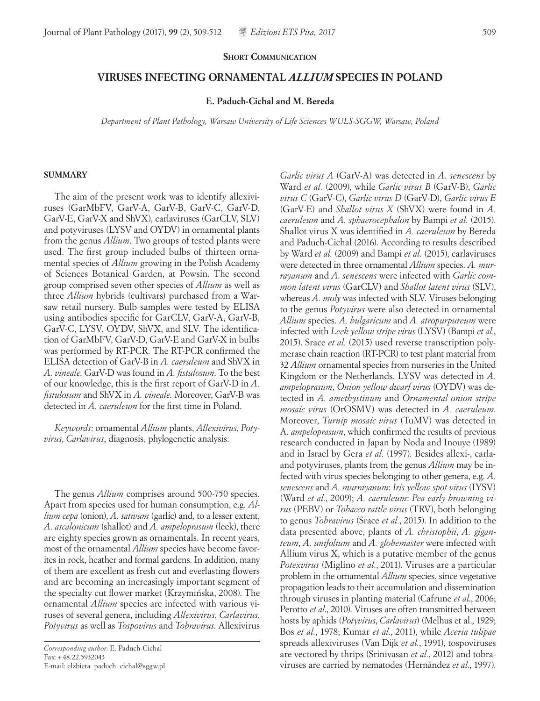### **SHORT COMMUNICATION**

# **VIRUSES INFECTING ORNAMENTAL** *ALLIUM* **SPECIES IN POLAND**

## **E. Paduch-Cichal and M. Bereda**

*Department of Plant Pathology, Warsaw University of Life Sciences WULS-SGGW, Warsaw, Poland*

#### **SUMMARY**

The aim of the present work was to identify allexiviruses (GarMbFV, GarV-A, GarV-B, GarV-C, GarV-D, GarV-E, GarV-X and ShVX), carlaviruses (GarCLV, SLV) and potyviruses (LYSV and OYDV) in ornamental plants from the genus *Allium*. Two groups of tested plants were used. The first group included bulbs of thirteen ornamental species of *Allium* growing in the Polish Academy of Sciences Botanical Garden, at Powsin. The second group comprised seven other species of *Allium* as well as three *Allium* hybrids (cultivars) purchased from a Warsaw retail nursery. Bulb samples were tested by ELISA using antibodies specific for GarCLV, GarV-A, GarV-B, GarV-C, LYSV, OYDV, ShVX, and SLV. The identification of GarMbFV, GarV-D, GarV-E and GarV-X in bulbs was performed by RT-PCR. The RT-PCR confirmed the ELISA detection of GarV-B in *A. caeruleum* and ShVX in *A. vineale*. GarV-D was found in *A. fistulosum*. To the best of our knowledge, this is the first report of GarV-D in *A. fistulosum* and ShVX in *A. vineale.* Moreover, GarV-B was detected in *A. caeruleum* for the first time in Poland.

*Keywords*: ornamental *Allium* plants, *Allexivirus*, *Potyvirus*, *Carlavirus*, diagnosis, phylogenetic analysis.

The genus *Allium* comprises around 500-750 species. Apart from species used for human consumption, e.g. *Allium cepa* (onion), *A. sativum* (garlic) and, to a lesser extent, *A. ascalonicum* (shallot) and *A. ampeloprasum* (leek), there are eighty species grown as ornamentals. In recent years, most of the ornamental *Allium* species have become favorites in rock, heather and formal gardens. In addition, many of them are excellent as fresh cut and everlasting flowers and are becoming an increasingly important segment of the specialty cut flower market (Krzymińska, 2008). The ornamental *Allium* species are infected with various viruses of several genera, including *Allexivirus*, *Carlavirus*, *Potyvirus* as well as *Tospovirus* and *Tobravirus*. Allexivirus

*Corresponding author:* E. Paduch-Cichal Fax:+48.22.5932043 E-mail: elzbieta\_paduch\_cichal@sggw.pl

*Garlic virus A* (GarV-A) was detected in *A. senescens* by Ward *et al.* (2009), while *Garlic virus B* (GarV-B), *Garlic virus C* (GarV-C), *Garlic virus D* (GarV-D), *Garlic virus E* (GarV-E) and *Shallot virus X* (ShVX) were found in *A. caeruleum* and *A. sphaerocephalon* by Bampi *et al.* (2015). Shallot virus X was identified in *A. caeruleum* by Bereda and Paduch-Cichal (2016). According to results described by Ward *et al.* (2009) and Bampi *et al.* (2015), carlaviruses were detected in three ornamental *Allium* species. *A. murrayanum* and *A*. *senescens* were infected with *Garlic common latent virus* (GarCLV) and *Shallot latent virus* (SLV), whereas *A. moly* was infected with SLV. Viruses belonging to the genus *Potyvirus* were also detected in ornamental *Allium* species. *A. bulgaricum* and *A. atropurpureum* were infected with *Leek yellow stripe virus* (LYSV) (Bampi *et al.*, 2015). Srace *et al.* (2015) used reverse transcription polymerase chain reaction (RT-PCR) to test plant material from 32 *Allium* ornamental species from nurseries in the United Kingdom or the Netherlands. LYSV was detected in *A. ampeloprasum*, *Onion yellow dwarf virus* (OYDV) was detected in *A. amethystinum* and *Ornamental onion stripe mosaic virus* (OrOSMV) was detected in *A. caeruleum*. Moreover, *Turnip mosaic virus* (TuMV) was detected in A. *ampeloprasum*, which confirmed the results of previous research conducted in Japan by Noda and Inouye (1989) and in Israel by Gera *et al.* (1997). Besides allexi-, carlaand potyviruses, plants from the genus *Allium* may be infected with virus species belonging to other genera, e.g. *A. senescens* and *A. murrayanum*: *Iris yellow spot virus* (IYSV) (Ward *et al.*, 2009); *A. caeruleum*: *Pea early browning virus* (PEBV) or *Tobacco rattle virus* (TRV), both belonging to genus *Tobravirus* (Srace *et al.*, 2015). In addition to the data presented above, plants of *A. christophii*, *A. giganteum*, *A. unifolium* and *A. globemaster* were infected with Allium virus X, which is a putative member of the genus *Potexvirus* (Miglino *et al.*, 2011). Viruses are a particular problem in the ornamental *Allium* species, since vegetative propagation leads to their accumulation and dissemination through viruses in planting material (Cafrune *et al*., 2006; Perotto *et al*., 2010). Viruses are often transmitted between hosts by aphids (*Potyvirus*, *Carlavirus*) (Melhus et al., 1929; Bos *et al.*, 1978; Kumar *et al*., 2011), while *Aceria tulipae* spreads allexiviruses (Van Dijk *et al.*, 1991), tospoviruses are vectored by thrips (Srinivasan *et al.*, 2012) and tobraviruses are carried by nematodes (Hernández *et al.*, 1997).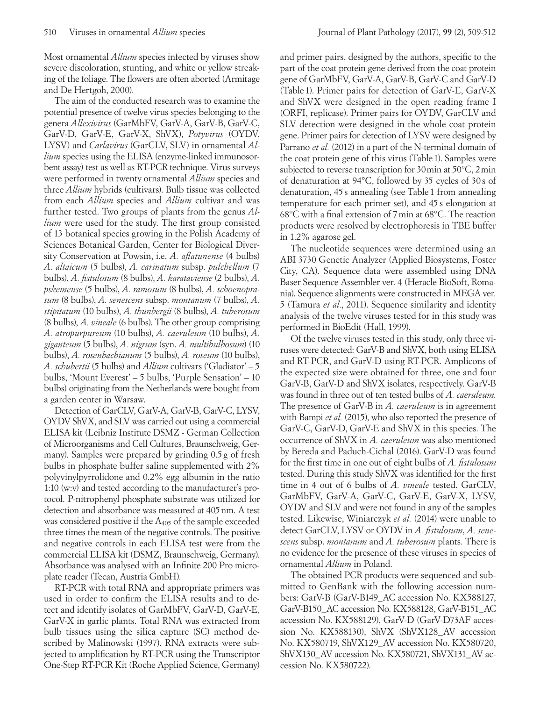Most ornamental *Allium* species infected by viruses show severe discoloration, stunting, and white or yellow streaking of the foliage. The flowers are often aborted (Armitage and De Hertgoh, 2000).

The aim of the conducted research was to examine the potential presence of twelve virus species belonging to the genera *Allexivirus* (GarMbFV, GarV-A, GarV-B, GarV-C, GarV-D, GarV-E, GarV-X, ShVX), *Potyvirus* (OYDV, LYSV) and *Carlavirus* (GarCLV, SLV) in ornamental *Allium* species using the ELISA (enzyme-linked immunosorbent assay) test as well as RT-PCR technique. Virus surveys were performed in twenty ornamental *Allium* species and three *Allium* hybrids (cultivars). Bulb tissue was collected from each *Allium* species and *Allium* cultivar and was further tested. Two groups of plants from the genus *Allium* were used for the study. The first group consisted of 13 botanical species growing in the Polish Academy of Sciences Botanical Garden, Center for Biological Diversity Conservation at Powsin, i.e. *A. aflatunense* (4 bulbs) *A. altaicum* (5 bulbs), *A. carinatum* subsp. *pulchellum* (7 bulbs), *A. fistulosum* (8 bulbs), *A. karataviense* (2 bulbs), *A. pskemense* (5 bulbs), *A. ramosum* (8 bulbs), *A. schoenoprasum* (8 bulbs), *A. senescens* subsp. *montanum* (7 bulbs), *A. stipitatum* (10 bulbs), *A. thunbergii* (8 bulbs), *A. tuberosum* (8 bulbs), *A. vineale* (6 bulbs). The other group comprising *A. atropurpureum* (10 bulbs), *A. caeruleum* (10 bulbs), *A. giganteum* (5 bulbs), *A. nigrum* (syn. *A. multibulbosum*) (10 bulbs), *A. rosenbachianum* (5 bulbs), *A. roseum* (10 bulbs), *A. schubertii* (5 bulbs) and *Allium* cultivars ('Gladiator' – 5 bulbs, 'Mount Everest' – 5 bulbs, 'Purple Sensation' – 10 bulbs) originating from the Netherlands were bought from a garden center in Warsaw.

Detection of GarCLV, GarV-A, GarV-B, GarV-C, LYSV, OYDV ShVX, and SLV was carried out using a commercial ELISA kit (Leibniz Institute DSMZ - German Collection of Microorganisms and Cell Cultures, Braunschweig, Germany). Samples were prepared by grinding 0.5g of fresh bulbs in phosphate buffer saline supplemented with 2% polyvinylpyrrolidone and 0.2% egg albumin in the ratio 1:10 (w:v) and tested according to the manufacturer's protocol. P-nitrophenyl phosphate substrate was utilized for detection and absorbance was measured at 405nm. A test was considered positive if the A<sub>405</sub> of the sample exceeded three times the mean of the negative controls. The positive and negative controls in each ELISA test were from the commercial ELISA kit (DSMZ, Braunschweig, Germany). Absorbance was analysed with an Infinite 200 Pro microplate reader (Tecan, Austria GmbH).

RT-PCR with total RNA and appropriate primers was used in order to confirm the ELISA results and to detect and identify isolates of GarMbFV, GarV-D, GarV-E, GarV-X in garlic plants. Total RNA was extracted from bulb tissues using the silica capture (SC) method described by Malinowski (1997). RNA extracts were subjected to amplification by RT-PCR using the Transcriptor One-Step RT-PCR Kit (Roche Applied Science, Germany)

and primer pairs, designed by the authors, specific to the part of the coat protein gene derived from the coat protein gene of GarMbFV, GarV-A, GarV-B, GarV-C and GarV-D (Table 1). Primer pairs for detection of GarV-E, GarV-X and ShVX were designed in the open reading frame I (ORFI, replicase). Primer pairs for OYDV, GarCLV and SLV detection were designed in the whole coat protein gene. Primer pairs for detection of LYSV were designed by Parrano *et al.* (2012) in a part of the N-terminal domain of the coat protein gene of this virus (Table1). Samples were subjected to reverse transcription for 30min at 50°C, 2min of denaturation at 94°C, followed by 35 cycles of 30 s of denaturation, 45 s annealing (see Table 1 from annealing temperature for each primer set), and 45 s elongation at 68°C with a final extension of 7min at 68°C. The reaction products were resolved by electrophoresis in TBE buffer in 1.2% agarose gel.

The nucleotide sequences were determined using an ABI 3730 Genetic Analyzer (Applied Biosystems, Foster City, CA). Sequence data were assembled using DNA Baser Sequence Assembler ver. 4 (Heracle BioSoft, Romania). Sequence alignments were constructed in MEGA ver. 5 (Tamura *et al.*, 2011). Sequence similarity and identity analysis of the twelve viruses tested for in this study was performed in BioEdit (Hall, 1999).

Of the twelve viruses tested in this study, only three viruses were detected: GarV-B and ShVX, both using ELISA and RT-PCR, and GarV-D using RT-PCR. Amplicons of the expected size were obtained for three, one and four GarV-B, GarV-D and ShVX isolates, respectively. GarV-B was found in three out of ten tested bulbs of *A. caeruleum*. The presence of GarV-B in *A. caeruleum* is in agreement with Bampi *et al.* (2015), who also reported the presence of GarV-C, GarV-D, GarV-E and ShVX in this species. The occurrence of ShVX in *A. caeruleum* was also mentioned by Bereda and Paduch-Cichal (2016). GarV-D was found for the first time in one out of eight bulbs of *A. fistulosum* tested. During this study ShVX was identified for the first time in 4 out of 6 bulbs of *A. vineale* tested. GarCLV, GarMbFV, GarV-A, GarV-C, GarV-E, GarV-X, LYSV, OYDV and SLV and were not found in any of the samples tested. Likewise, Winiarczyk *et al.* (2014) were unable to detect GarCLV, LYSV or OYDV in *A. fistulosum*, *A. senescens* subsp. *montanum* and *A. tuberosum* plants. There is no evidence for the presence of these viruses in species of ornamental *Allium* in Poland.

The obtained PCR products were sequenced and submitted to GenBank with the following accession numbers: GarV-B (GarV-B149\_AC accession No. KX588127, GarV-B150\_AC accession No. KX588128, GarV-B151\_AC accession No. KX588129), GarV-D (GarV-D73AF accession No. KX588130), ShVX (ShVX128\_AV accession No. KX580719, ShVX129\_AV accession No. KX580720, ShVX130 AV accession No. KX580721, ShVX131 AV accession No. KX580722).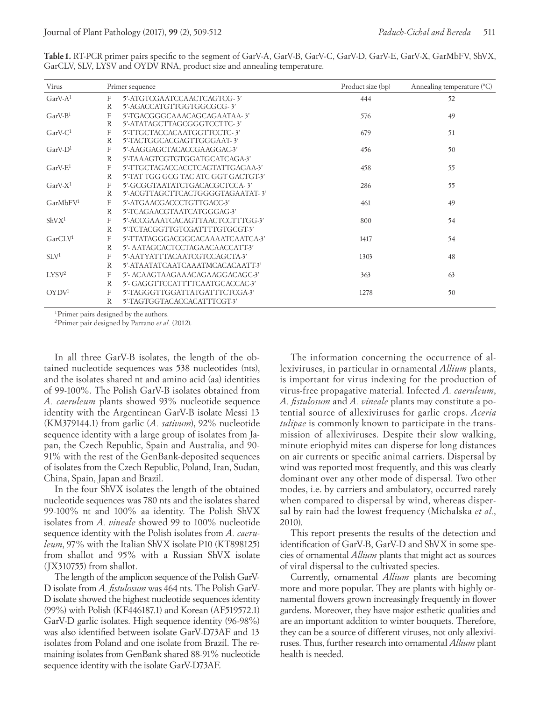| Virus                | Primer sequence |                                                                          | Product size (bp) | Annealing temperature $(C)$ |
|----------------------|-----------------|--------------------------------------------------------------------------|-------------------|-----------------------------|
| $GarV-A1$            | F<br>R          | 5'-ATGTCGAATCCAACTCAGTCG-3'<br>5'-AGACCATGTTGGTGGCGCG-3'                 | 444               | 52                          |
| $GarV-B1$            | F<br>R          | 5'-TGACGGGCAAACAGCAGAATAA-3'<br>5'-ATATAGCTTAGCGGGTCCTTC-3'              | 576               | 49                          |
| $GarV-C1$            | F<br>R          | 5'-TTGCTACCACAATGGTTCCTC-3'<br>5'-TACTGGCACGAGTTGGGAAT-3'                | 679               | 51                          |
| $GarV-D1$            | F<br>R          | 5'-AAGGAGCTACACCGAAGGAC-3'<br>5'-TAAAGTCGTGTGGATGCATCAGA-3'              | 456               | 50                          |
| $GarV-E1$            | F<br>R          | 5'-TTGCTAGACCACCTCAGTATTGAGAA-3'<br>5'-TAT TGG GCG TAC ATC GGT GACTGT-3' | 458               | 55                          |
| $GarV-X1$            | F<br>R          | 5'-GCGGTAATATCTGACACGCTCCA-3'<br>5'-ACGTTAGCTTCACTGGGGTAGAATAT-3'        | 286               | 55                          |
| GarMbFV <sup>1</sup> | F<br>R          | 5'-ATGAACGACCCTGTTGACC-3'<br>5'-TCAGAACGTAATCATGGGAG-3'                  | 461               | 49                          |
| ShVX <sup>1</sup>    | F<br>R          | 5'-ACCGAAATCACAGTTAACTCCTTTGG-3'<br>5'-TCTACGGTTGTCGATTTTGTGCGT-3'       | 800               | 54                          |
| GarCLV <sup>1</sup>  | F<br>R          | 5'-TTATAGGGACGGCACAAAATCAATCA-3'<br>5'- AATAGCACTCCTAGAACAACCATT-3'      | 1417              | 54                          |
| SLV <sup>1</sup>     | F<br>R          | 5'-AATYATTTACAATCGTCCAGCTA-3'<br>5'-ATAATATCAATCAAATMCACACAATT-3'        | 1303              | 48                          |
| LYSV <sup>2</sup>    | F<br>R          | 5'- ACAAGTAAGAAACAGAAGGACAGC-3'<br>5'-GAGGTTCCATTTTCAATGCACCAC-3'        | 363               | 63                          |
| OYDV <sup>1</sup>    | F<br>R          | 5'-TAGGGTTGGATTATGATTTCTCGA-3'<br>5'-TAGTGGTACACCACATTTCGT-3'            | 1278              | 50                          |

**Table1.** RT-PCR primer pairs specific to the segment of GarV-A, GarV-B, GarV-C, GarV-D, GarV-E, GarV-X, GarMbFV, ShVX, GarCLV, SLV, LYSV and OYDV RNA, product size and annealing temperature.

1Primer pairs designed by the authors.

2Primer pair designed by Parrano *et al.* (2012).

In all three GarV-B isolates, the length of the obtained nucleotide sequences was 538 nucleotides (nts), and the isolates shared nt and amino acid (aa) identities of 99-100%. The Polish GarV-B isolates obtained from *A. caeruleum* plants showed 93% nucleotide sequence identity with the Argentinean GarV-B isolate Messi 13 (KM379144.1) from garlic (*A. sativum*), 92% nucleotide sequence identity with a large group of isolates from Japan, the Czech Republic, Spain and Australia, and 90- 91% with the rest of the GenBank-deposited sequences of isolates from the Czech Republic, Poland, Iran, Sudan, China, Spain, Japan and Brazil.

In the four ShVX isolates the length of the obtained nucleotide sequences was 780 nts and the isolates shared 99-100% nt and 100% aa identity. The Polish ShVX isolates from *A. vineale* showed 99 to 100% nucleotide sequence identity with the Polish isolates from *A. caeruleum*, 97% with the Italian ShVX isolate P10 (KT898125) from shallot and 95% with a Russian ShVX isolate (JX310755) from shallot.

The length of the amplicon sequence of the Polish GarV-D isolate from *A. fistulosum* was 464 nts. The Polish GarV-D isolate showed the highest nucleotide sequences identity (99%) with Polish (KF446187.1) and Korean (AF519572.1) GarV-D garlic isolates. High sequence identity (96-98%) was also identified between isolate GarV-D73AF and 13 isolates from Poland and one isolate from Brazil. The remaining isolates from GenBank shared 88-91% nucleotide sequence identity with the isolate GarV-D73AF.

The information concerning the occurrence of allexiviruses, in particular in ornamental *Allium* plants, is important for virus indexing for the production of virus-free propagative material. Infected *A. caeruleum*, *A. fistulosum* and *A. vineale* plants may constitute a potential source of allexiviruses for garlic crops. *Aceria tulipae* is commonly known to participate in the transmission of allexiviruses. Despite their slow walking, minute eriophyid mites can disperse for long distances on air currents or specific animal carriers. Dispersal by wind was reported most frequently, and this was clearly dominant over any other mode of dispersal. Two other modes, i.e. by carriers and ambulatory, occurred rarely when compared to dispersal by wind, whereas dispersal by rain had the lowest frequency (Michalska *et al.*, 2010).

This report presents the results of the detection and identification of GarV-B, GarV-D and ShVX in some species of ornamental *Allium* plants that might act as sources of viral dispersal to the cultivated species.

Currently, ornamental *Allium* plants are becoming more and more popular. They are plants with highly ornamental flowers grown increasingly frequently in flower gardens. Moreover, they have major esthetic qualities and are an important addition to winter bouquets. Therefore, they can be a source of different viruses, not only allexiviruses. Thus, further research into ornamental *Allium* plant health is needed.